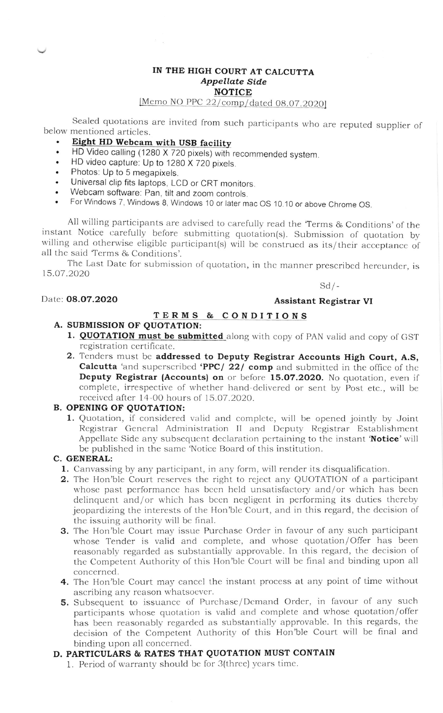### IN THE HIGH COURT AT CALCUTTA Appellate Side NOTICE

# [Memo NO PPC  $22/\text{comp}/\text{dated } 08.07.2020$ ]

Sealed quotations are invited from such participants who are reputed supplier of below mentioned articles.

- Eight HD Webcam with USB facility
- HD Video calling (1280 X 720 pixels) with recommended system.<br>• HD video capture: Un to 1280 X 720 pixels
- . HD video capture: Up to 1280 X 720 pixels.
- . Photos. Up to 5 megapixels.
- . Universal clip fits laptops, LCD or CRT monitors.
- . Webcam software: Pan, tilt and zoom controls.
- For Windows 7, Windows 8, Windows 10 or later mac OS 10.10 or above Chrome OS.

All willing participants are advised to carefully read the Terms & Conditions' of the instant Notice carefully before submitting quotation(s). Submission of quotation by willing and otherwise eligible participant(s) will b

The Last Date for submission of quotation, in the manner prescribed hereunder, is 1.5.O7.2020

 $Sd$  /-

### Date: 08.07.2020

### Assistant Registrar VI

# TERMS & CONDITIONS A. SUBMISSION OF QUOTATION:

- 1. QUOTATION must be submitted along with copy of PAN valid and copy of GST registration certificate.
- 2. Tenders must be addressed to Deputy Registrar Accounts High Court, A.S, Calcutta 'and superscribed 'PPC/ 22/ comp and submitted in the office of the Deputy Registrar (Accounts) on or before I5.O7.2O2O, No quotation, even if complete, irrespective of whether hand delivered or sent by Post etc., will be received after 14-00 hours of 15.07.2020.

## B. OPENING OF QUOTATION:

1. Quotation, if considered valid and complete, will be opened jointly by Joint Registrar General Administration II and Deputy Registrar Establishment Appellate Side any subsequent declaration pertaining to the instant 'Notice' will be published in the same 'Notice Board of this institution.

### C. GENERAL:

- 1. Canvassing by any participant, in any form, will render its disqualification.
- 2. The Hon'ble Court reserves the right to reject any QUOTATION of a participant whose past performance has been held unsatisfactory and/or which has been delinquent and/or which has been negligent in performing its duties thereby jeopardizing the interests of the Hon'ble Court, and in this regard, the decision of the issuing authority will be final.
- 3. The Hon'ble Court may issue Purchase Order in favour of any such participant whose Tender is valid and complete, and whose quotation/Offer has been reasonably regarded as substantially approvable. In this regard, the decision of the Competent Authority of this Hon'ble Court will be final and binding upon all concerned.
- 4. The Hon'ble Court may cancel the instant process at any point of time without ascribing any reason whatsoever.
- 5. Subsequent to issuance of Purchase/Demand Order, in favour of any such participants whose quotation is valid and complete and whose quotation/ofler has been reasonably regarded as substantially approvable. In this regards, the decision of the Competent Authority of this Hon'ble Court will be final and binding upon all concerned.

## D. PARTICULARS & RATES THAT QUOTATION MUST CONTAIN

1. Pcriod of warranty should bc for 3(thrce) ycars timc.